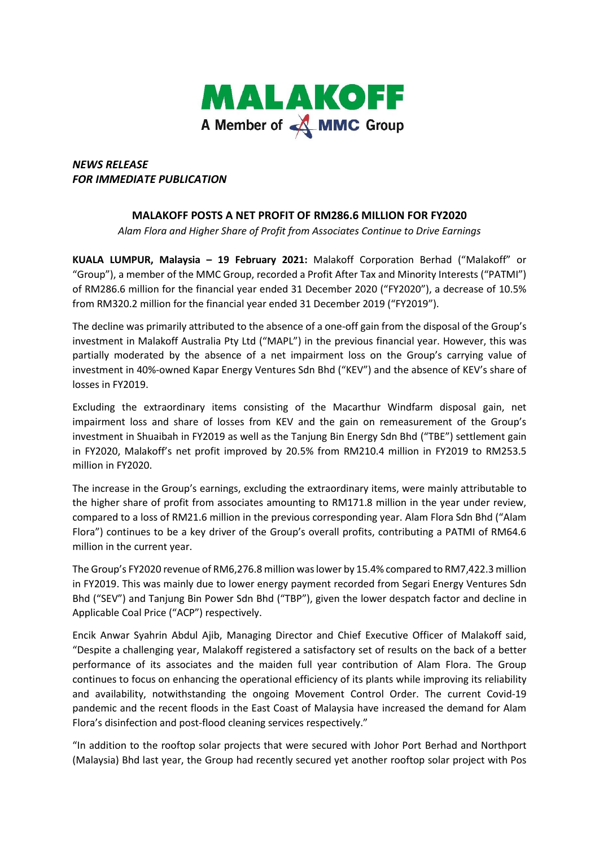

## *NEWS RELEASE FOR IMMEDIATE PUBLICATION*

## **MALAKOFF POSTS A NET PROFIT OF RM286.6 MILLION FOR FY2020**

*Alam Flora and Higher Share of Profit from Associates Continue to Drive Earnings* 

**KUALA LUMPUR, Malaysia – 19 February 2021:** Malakoff Corporation Berhad ("Malakoff" or "Group"), a member of the MMC Group, recorded a Profit After Tax and Minority Interests ("PATMI") of RM286.6 million for the financial year ended 31 December 2020 ("FY2020"), a decrease of 10.5% from RM320.2 million for the financial year ended 31 December 2019 ("FY2019").

The decline was primarily attributed to the absence of a one-off gain from the disposal of the Group's investment in Malakoff Australia Pty Ltd ("MAPL") in the previous financial year. However, this was partially moderated by the absence of a net impairment loss on the Group's carrying value of investment in 40%-owned Kapar Energy Ventures Sdn Bhd ("KEV") and the absence of KEV's share of losses in FY2019.

Excluding the extraordinary items consisting of the Macarthur Windfarm disposal gain, net impairment loss and share of losses from KEV and the gain on remeasurement of the Group's investment in Shuaibah in FY2019 as well as the Tanjung Bin Energy Sdn Bhd ("TBE") settlement gain in FY2020, Malakoff's net profit improved by 20.5% from RM210.4 million in FY2019 to RM253.5 million in FY2020.

The increase in the Group's earnings, excluding the extraordinary items, were mainly attributable to the higher share of profit from associates amounting to RM171.8 million in the year under review, compared to a loss of RM21.6 million in the previous corresponding year. Alam Flora Sdn Bhd ("Alam Flora") continues to be a key driver of the Group's overall profits, contributing a PATMI of RM64.6 million in the current year.

The Group's FY2020 revenue of RM6,276.8 million was lower by 15.4% compared to RM7,422.3 million in FY2019. This was mainly due to lower energy payment recorded from Segari Energy Ventures Sdn Bhd ("SEV") and Tanjung Bin Power Sdn Bhd ("TBP"), given the lower despatch factor and decline in Applicable Coal Price ("ACP") respectively.

Encik Anwar Syahrin Abdul Ajib, Managing Director and Chief Executive Officer of Malakoff said, "Despite a challenging year, Malakoff registered a satisfactory set of results on the back of a better performance of its associates and the maiden full year contribution of Alam Flora. The Group continues to focus on enhancing the operational efficiency of its plants while improving its reliability and availability, notwithstanding the ongoing Movement Control Order. The current Covid-19 pandemic and the recent floods in the East Coast of Malaysia have increased the demand for Alam Flora's disinfection and post-flood cleaning services respectively."

"In addition to the rooftop solar projects that were secured with Johor Port Berhad and Northport (Malaysia) Bhd last year, the Group had recently secured yet another rooftop solar project with Pos